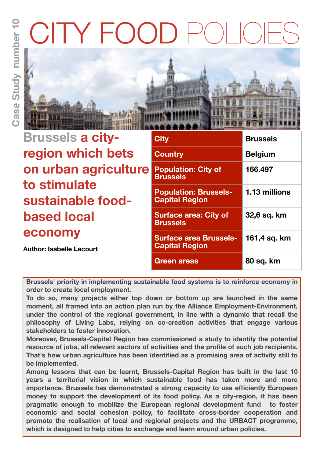# ITY FOC



| <b>Brussels a city-</b>           | <b>City</b>                                            | <b>Brussels</b> |
|-----------------------------------|--------------------------------------------------------|-----------------|
| region which bets                 | <b>Country</b>                                         | <b>Belgium</b>  |
| on urban agriculture              | <b>Population: City of</b><br><b>Brussels</b>          | 166.497         |
| to stimulate<br>sustainable food- | <b>Population: Brussels-</b><br><b>Capital Region</b>  | 1.13 millions   |
| <b>based local</b>                | <b>Surface area: City of</b><br><b>Brussels</b>        | 32,6 sq. km     |
| economy                           | <b>Surface area Brussels-</b><br><b>Capital Region</b> | 161,4 sq. km    |
| <b>Author: Isabelle Lacourt</b>   | Green areas                                            | 80 sq. km       |

**Brussels' priority in implementing sustainable food systems is to reinforce economy in order to create local employment.** 

**To do so, many projects either top down or bottom up are launched in the same moment, all framed into an action plan run by the Alliance Employment-Environment, under the control of the regional government, in line with a dynamic that recall the philosophy of Living Labs, relying on co-creation activities that engage various stakeholders to foster innovation.** 

**Moreover, Brussels-Capital Region has commissioned a study to identify the potential resource of jobs, all relevant sectors of activities and the profile of such job recipients. That's how urban agriculture has been identified as a promising area of activity still to be implemented.** 

**Among lessons that can be learnt, Brussels-Capital Region has built in the last 10 years a territorial vision in which sustainable food has taken more and more importance. Brussels has demonstrated a strong capacity to use efficiently European money to support the development of its food policy. As a city-region, it has been pragmatic enough to mobilize the European regional development fund to foster economic and social cohesion policy, to facilitate cross-border cooperation and promote the realisation of local and regional projects and the URBACT programme, which is designed to help cities to exchange and learn around urban policies.**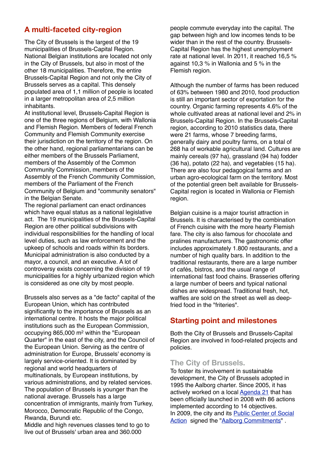# **A multi-faceted city-region**

The City of Brussels is the largest of the 19 municipalities of Brussels-Capital Region. National Belgian institutions are located not only in the City of Brussels, but also in most of the other 18 municipalities. Therefore, the entire Brussels-Capital Region and not only the City of Brussels serves as a capital. This densely populated area of 1,1 million of people is located in a larger metropolitan area of 2,5 million inhabitants.

At institutional level, Brussels-Capital Region is one of the three regions of Belgium, with Wallonia and Flemish Region. Members of federal French Community and Flemish Community exercise their jurisdiction on the territory of the region. On the other hand, regional parliamentarians can be either members of the Brussels Parliament, members of the Assembly of the Common Community Commission, members of the Assembly of the French Community Commission, members of the Parliament of the French Community of Belgium and "community senators" in the Belgian Senate.

The regional parliament can enact ordinances which have equal status as a national legislative act. The 19 municipalities of the Brussels-Capital Region are other political subdivisions with individual responsibilities for the handling of local level duties, such as law enforcement and the upkeep of schools and roads within its borders. Municipal administration is also conducted by a mayor, a council, and an executive. A lot of controversy exists concerning the division of 19 municipalities for a highly urbanized region which is considered as one city by most people.

Brussels also serves as a "de facto" capital of the European Union, which has contributed significantly to the importance of Brussels as an international centre. It hosts the major political institutions such as the European Commission, occupying 865,000 m2 within the "European Quarter" in the east of the city, and the Council of the European Union. Serving as the centre of administration for Europe, Brussels' economy is largely service-oriented. It is dominated by regional and world headquarters of multinationals, by European institutions, by various administrations, and by related services. The population of Brussels is younger than the national average. Brussels has a large concentration of immigrants, mainly from Turkey, Morocco, Democratic Republic of the Congo, Rwanda, Burundi etc.

Middle and high revenues classes tend to go to live out of Brussels' urban area and 360.000

people commute everyday into the capital. The gap between high and low incomes tends to be wider than in the rest of the country. Brussels-Capital Region has the highest unemployment rate at national level. In 2011, it reached 16,5 % against 10,3 % in Wallonia and 5 % in the Flemish region.

Although the number of farms has been reduced of 63% between 1980 and 2010, food production is still an important sector of exportation for the country. Organic farming represents 4.6% of the whole cultivated areas at national level and 2% in Brussels-Capital Region. In the Brussels-Capital region, according to 2010 statistics data, there were 21 farms, whose 7 breeding farms, generally dairy and poultry farms, on a total of 268 ha of workable agricultural land. Cultures are mainly cereals (97 ha), grassland (94 ha) fodder (36 ha), potato (22 ha), and vegetables (15 ha). There are also four pedagogical farms and an urban agro-ecological farm on the territory. Most of the potential green belt available for Brussels-Capital region is located in Wallonia or Flemish region.

Belgian cuisine is a major tourist attraction in Brussels. It is characterised by the combination of French cuisine with the more hearty Flemish fare. The city is also famous for chocolate and pralines manufacturers. The gastronomic offer includes approximately 1.800 restaurants, and a number of high quality bars. In addition to the traditional restaurants, there are a large number of cafés, bistros, and the usual range of international fast food chains. Brasseries offering a large number of beers and typical national dishes are widespread. Traditional fresh, hot, waffles are sold on the street as well as deepfried food in the "friteries".

# **Starting point and milestones**

Both the City of Brussels and Brussels-Capital Region are involved in food-related projects and policies.

# **The City of Brussels.**

To foster its involvement in sustainable development, the City of Brussels adopted in 1995 the Aalborg charter. Since 2005, it has actively worked on a local [Agenda 21](http://www.brussels.be/artdet.cfm/8519) that has been officially launched in 2008 with 86 actions implemented according to 14 objectives. In 2009, the city and its [Public Center of Social](http://be.brussels/about-the-region/les-centres-publics-daction-sociale-cpas)  [Action](http://be.brussels/about-the-region/les-centres-publics-daction-sociale-cpas) signed the ["Aalborg Commitments"](http://www.sustainablecities.eu/aalborg-process/commitments) .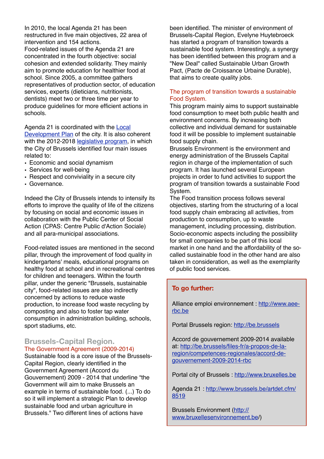In 2010, the local Agenda 21 has been restructured in five main objectives, 22 area of intervention and 154 actions.

Food-related issues of the Agenda 21 are concentrated in the fourth objective: social cohesion and extended solidarity. They mainly aim to promote education for healthier food at school. Since 2005, a committee gathers representatives of production sector, of education services, experts (dieticians, nutritionists, dentists) meet two or three time per year to produce guidelines for more efficient actions in schools.

Agenda 21 is coordinated with the [Local](http://www.bruxelles.be/artdet.cfm/4172)  [Development Plan](http://www.bruxelles.be/artdet.cfm/4172) of the city. It is also coherent with the 2012-2018 [legislative program,](http://www.bruxelles.be/artdet.cfm/4167) in which the City of Brussels identified four main issues related to:

- Economic and social dynamism
- Services for well-being
- Respect and conviviality in a secure city
- Governance.

Indeed the City of Brussels intends to intensify its efforts to improve the quality of life of the citizens by focusing on social and economic issues in collaboration with the Public Center of Social Action (CPAS: Centre Public d'Action Sociale) and all para-municipal associations.

Food-related issues are mentioned in the second pillar, through the improvement of food quality in kindergartens' meals, educational programs on healthy food at school and in recreational centres for children and teenagers. Within the fourth pillar, under the generic "Brussels, sustainable city", food-related issues are also indirectly concerned by actions to reduce waste production, to increase food waste recycling by composting and also to foster tap water consumption in administration building, schools, sport stadiums, etc.

## **Brussels-Capital Region.** The Government Agreement (2009-2014)

Sustainable food is a core issue of the Brussels-Capital Region, clearly identified in the Government Agreement (Accord du Gouvernement) 2009 - 2014 that underline "the Government will aim to make Brussels an example in terms of sustainable food. (...) To do so it will implement a strategic Plan to develop sustainable food and urban agriculture in Brussels." Two different lines of actions have

been identified. The minister of environment of Brussels-Capital Region, Evelyne Huytebroeck has started a program of transition towards a sustainable food system. Interestingly, a synergy has been identified between this program and a "New Deal" called Sustainable Urban Growth Pact, (Pacte de Croissance Urbaine Durable), that aims to create quality jobs.

## The program of transition towards a sustainable Food System.

This program mainly aims to support sustainable food consumption to meet both public health and environment concerns. By increasing both collective and individual demand for sustainable food it will be possible to implement sustainable food supply chain.

Brussels Environment is the environment and energy administration of the Brussels Capital region in charge of the implementation of such program. It has launched several European projects in order to fund activities to support the program of transition towards a sustainable Food System.

The Food transition process follows several objectives, starting from the structuring of a local food supply chain embracing all activities, from production to consumption, up to waste management, including processing, distribution. Socio-economic aspects including the possibility for small companies to be part of this local market in one hand and the affordability of the socalled sustainable food in the other hand are also taken in consideration, as well as the exemplarity of public food services.

# **To go further:**

Alliance emploi environnement : [http://www.aee](http://www.aee-rbc.be)[rbc.be](http://www.aee-rbc.be)

Portal Brussels region:<http://be.brussels>

Accord de gouvernement 2009-2014 available at: [http://be.brussels/files-fr/a-propos-de-la](http://be.brussels/files-fr/a-propos-de-la-region/competences-regionales/accord-de-gouvernement-2009-2014-rbc)[region/competences-regionales/accord-de](http://be.brussels/files-fr/a-propos-de-la-region/competences-regionales/accord-de-gouvernement-2009-2014-rbc)[gouvernement-2009-2014-rbc](http://be.brussels/files-fr/a-propos-de-la-region/competences-regionales/accord-de-gouvernement-2009-2014-rbc)

Portal city of Brussels :<http://www.bruxelles.be>

Agenda 21 : [http://www.brussels.be/artdet.cfm/](http://www.brussels.be/artdet.cfm/8519) [8519](http://www.brussels.be/artdet.cfm/8519)

Brussels Environment [\(http://](http://www.bruxellesenvironnement.be) [www.bruxellesenvironnement.be/](http://www.bruxellesenvironnement.be))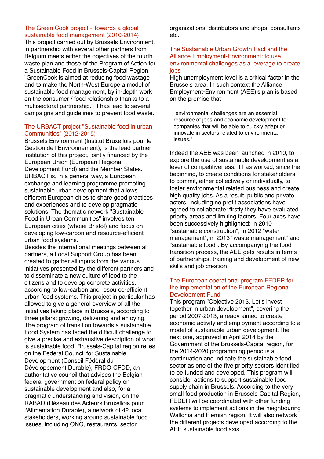#### The Green Cook project - Towards a global sustainable food management (2010-2014)

This project carried out by Brussels Environment, in partnership with several other partners from Belgium meets either the objectives of the fourth waste plan and those of the Program of Action for a Sustainable Food in Brussels-Capital Region. "GreenCook is aimed at reducing food wastage and to make the North-West Europe a model of sustainable food management, by in-depth work on the consumer / food relationship thanks to a multisectoral partnership." It has lead to several campaigns and guidelines to prevent food waste.

## The URBACT project "Sustainable food in urban Communities" (2012-2015)

Brussels Environment (Institut Bruxellois pour le Gestion de l'Environnement), is the lead partner institution of this project, jointly financed by the European Union (European Regional Development Fund) and the Member States. URBACT is, in a general way, a European exchange and learning programme promoting sustainable urban development that allows different European cities to share good practices and experiences and to develop pragmatic solutions. The thematic network "Sustainable Food in Urban Communities" involves ten European cities (whose Bristol) and focus on developing low-carbon and resource-efficient urban food systems.

Besides the international meetings between all partners, a Local Support Group has been created to gather all inputs from the various initiatives presented by the different partners and to disseminate a new culture of food to the citizens and to develop concrete activities, according to low-carbon and resource-efficient urban food systems. This project in particular has allowed to give a general overview of all the initiatives taking place in Brussels, according to three pillars: growing, delivering and enjoying. The program of transition towards a sustainable Food System has faced the difficult challenge to give a precise and exhaustive description of what is sustainable food. Brussels-Capital region relies on the Federal Council for Sustainable Development (Conseil Fédéral du Développement Durable), FRDO-CFDD, an authoritative council that advises the Belgian federal government on federal policy on sustainable development and also, for a pragmatic understanding and vision, on the RABAD (Réseau des Acteurs Bruxellois pour l'Alimentation Durable), a network of 42 local stakeholders, working around sustainable food issues, including ONG, restaurants, sector

organizations, distributors and shops, consultants etc.

## The Sustainable Urban Growth Pact and the Alliance Employment-Environment: to use environmental challenges as a leverage to create iobs

High unemployment level is a critical factor in the Brussels area. In such context the Alliance Employment-Environment (AEE)'s plan is based on the premise that

"environmental challenges are an essential resource of jobs and economic development for companies that will be able to quickly adapt or innovate in sectors related to environmental issues."

Indeed the AEE was been launched in 2010, to explore the use of sustainable development as a lever of competitiveness. It has worked, since the beginning, to create conditions for stakeholders to commit, either collectively or individually, to foster environmental related business and create high quality jobs. As a result, public and private actors, including no profit associations have agreed to collaborate: firstly they have evaluated priority areas and limiting factors. Four axes have been successively highlighted: in 2010 "sustainable construction", in 2012 "water management", in 2013 "waste management" and "sustainable food". By accompanying the food transition process, the AEE gets results in terms of partnerships, training and development of new skills and job creation.

## The European operational program FEDER for the implementation of the European Regional Development Fund

This program "Objective 2013, Let's invest together in urban development", covering the period 2007-2013, already aimed to create economic activity and employment according to a model of sustainable urban development.The next one, approved in April 2014 by the Government of the Brussels-Capital region, for the 2014-2020 programming period is a continuation and indicate the sustainable food sector as one of the five priority sectors identified to be funded and developed. This program will consider actions to support sustainable food supply chain in Brussels. According to the very small food production in Brussels-Capital Region, FEDER will be coordinated with other funding systems to implement actions in the neighbouring Wallonia and Flemish region. It will also network the different projects developed according to the AEE sustainable food axis.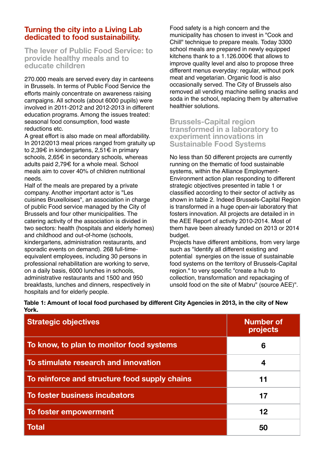# **Turning the city into a Living Lab dedicated to food sustainability.**

**The lever of Public Food Service: to provide healthy meals and to educate children** 

270.000 meals are served every day in canteens in Brussels. In terms of Public Food Service the efforts mainly concentrate on awareness raising campaigns. All schools (about 6000 pupils) were involved in 2011-2012 and 2012-2013 in different education programs. Among the issues treated: seasonal food consumption, food waste reductions etc.

A great effort is also made on meal affordability. In 2012/2013 meal prices ranged from gratuity up to 2,39€ in kindergartens, 2,51€ in primary schools, 2,65€ in secondary schools, whereas adults paid 2,79€ for a whole meal. School meals aim to cover 40% of children nutritional needs.

Half of the meals are prepared by a private company. Another important actor is "Les cuisines Bruxelloises", an association in charge of public Food service managed by the City of Brussels and four other municipalities. The catering activity of the association is divided in two sectors: health (hospitals and elderly homes) and childhood and out-of-home (schools, kindergartens, administration restaurants, and sporadic events on demand). 268 full-timeequivalent employees, including 30 persons in professional rehabilitation are working to serve, on a daily basis, 6000 lunches in schools, administrative restaurants and 1500 and 950 breakfasts, lunches and dinners, respectively in hospitals and for elderly people.

Food safety is a high concern and the municipality has chosen to invest in "Cook and Chill" technique to prepare meals. Today 3300 school meals are prepared in newly equipped kitchens thank to a 1.126.000€ that allows to improve quality level and also to propose three different menus everyday: regular, without pork meat and vegetarian. Organic food is also occasionally served. The City of Brussels also removed all vending machine selling snacks and soda in the school, replacing them by alternative healthier solutions.

**Brussels-Capital region transformed in a laboratory to experiment innovations in Sustainable Food Systems**

No less than 50 different projects are currently running on the thematic of food sustainable systems, within the Alliance Employment-Environment action plan responding to different strategic objectives presented in table 1 or classified according to their sector of activity as shown in table 2. Indeed Brussels-Capital Region is transformed in a huge open-air laboratory that fosters innovation. All projects are detailed in in the AEE Report of activity 2010-2014. Most of them have been already funded on 2013 or 2014 budget.

Projects have different ambitions, from very large such as "Identify all different existing and potential synergies on the issue of sustainable food systems on the territory of Brussels-Capital region." to very specific "create a hub to collection, transformation and repackaging of unsold food on the site of Mabru" (source AEE)".

|       | Table 1: Amount of local food purchased by different City Agencies in 2013, in the city of New |  |
|-------|------------------------------------------------------------------------------------------------|--|
| York. |                                                                                                |  |

| <b>Strategic objectives</b>                   | <b>Number of</b><br>projects |
|-----------------------------------------------|------------------------------|
| To know, to plan to monitor food systems      | 6                            |
| To stimulate research and innovation          | 4                            |
| To reinforce and structure food supply chains | 11                           |
| To foster business incubators                 | 17                           |
| To foster empowerment                         | 12                           |
| <b>Total</b>                                  | 50                           |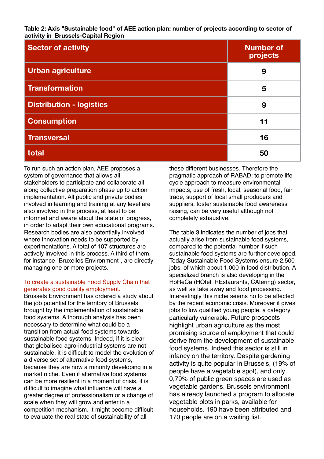**Table 2: Axis "Sustainable food" of AEE action plan: number of projects according to sector of activity in Brussels-Capital Region**

| <b>Sector of activity</b>       | <b>Number of</b><br>projects |
|---------------------------------|------------------------------|
| Urban agriculture               | 9                            |
| <b>Transformation</b>           | 5                            |
| <b>Distribution - logistics</b> | 9                            |
| <b>Consumption</b>              | 11                           |
| <b>Transversal</b>              | 16                           |
| total                           | 50                           |

To run such an action plan, AEE proposes a system of governance that allows all stakeholders to participate and collaborate all along collective preparation phase up to action implementation. All public and private bodies involved in learning and training at any level are also involved in the process, at least to be informed and aware about the state of progress, in order to adapt their own educational programs. Research bodies are also potentially involved where innovation needs to be supported by experimentations. A total of 107 structures are actively involved in this process. A third of them, for instance "Bruxelles Environment", are directly managing one or more projects.

### To create a sustainable Food Supply Chain that generates good quality employment.

Brussels Environment has ordered a study about the job potential for the territory of Brussels brought by the implementation of sustainable food systems. A thorough analysis has been necessary to determine what could be a transition from actual food systems towards sustainable food systems. Indeed, if it is clear that globalised agro-industrial systems are not sustainable, it is difficult to model the evolution of a diverse set of alternative food systems, because they are now a minority developing in a market niche. Even if alternative food systems can be more resilient in a moment of crisis, it is difficult to imagine what influence will have a greater degree of professionalism or a change of scale when they will grow and enter in a competition mechanism. It might become difficult to evaluate the real state of sustainability of all

these different businesses. Therefore the pragmatic approach of RABAD: to promote life cycle approach to measure environmental impacts, use of fresh, local, seasonal food, fair trade, support of local small producers and suppliers, foster sustainable food awareness raising, can be very useful although not completely exhaustive.

The table 3 indicates the number of jobs that actually arise from sustainable food systems, compared to the potential number if such sustainable food systems are further developed. Today Sustainable Food Systems ensure 2.500 jobs, of which about 1.000 in food distribution. A specialized branch is also developing in the HoReCa (HOtel, REstaurants, CAtering) sector, as well as take away and food processing. Interestingly this niche seems no to be affected by the recent economic crisis. Moreover it gives jobs to low qualified young people, a category particularly vulnerable. Future prospects highlight urban agriculture as the most promising source of employment that could derive from the development of sustainable food systems. Indeed this sector is still in infancy on the territory. Despite gardening activity is quite popular in Brussels, (19% of people have a vegetable spot), and only 0,79% of public green spaces are used as vegetable gardens. Brussels environment has already launched a program to allocate vegetable plots in parks, available for households. 190 have been attributed and 170 people are on a waiting list.